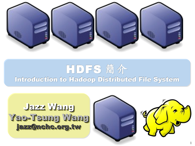

## HDFS 簡介 Introduction to Hadoop Distributed File System

Jazz Wang Jazz Wang Yao-Tsung Wang jazz@nchc.org.tw Yao-Tsung Wang jazz@nchc.org.tw

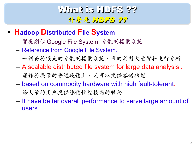## What is HDFS ?? 什麼是 HDFS ??

- **Hadoop Distributed File System**
	- 實現類似 Google File System 分散式檔案系統
	- Reference from Google File System.
	- 一個易於擴充的分散式檔案系統,目的為對大量資料進行分析
	- A scalable distributed file system for large data analysis .
	- 運作於廉價的普通硬體上,又可以提供容錯功能
	- based on commodity hardware with high fault-tolerant.
	- 給大量的用戶提供總體性能較高的服務
	- It have better overall performance to serve large amount of users.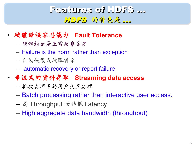## Features of HDFS ... HDFS 的特色是 ...

- 硬體錯誤容忍能力 **Fault Tolerance**
	- 硬體錯誤是正常而非異常
	- Failure is the norm rather than exception
	- 自動恢復或故障排除
	- automatic recovery or report failure
- 串流式的資料存取 **Streaming data access**
	- 批次處理多於用戶交互處理
	- Batch processing rather than interactive user access.
	- 高 Throughput 而非低 Latency
	- High aggregate data bandwidth (throughput)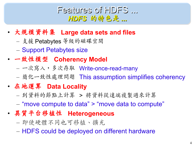#### Features of HDFS ... *HDFS* 的特色是 *...*

- 大規模資料集 **Large data sets and files**
	- 支援 Petabytes 等級的磁碟空間
	- Support Petabytes size
- 一致性模型 **Coherency Model**
	- 一次寫入,多次存取 Write-once-read-many
	- 簡化一致性處理問題 This assumption simplifies coherency
- 在地運算 **Data Locality**
	- 到資料的節點上計算 > 將資料從遠端複製過來計算
	- "move compute to data" > "move data to compute"
- 異質平台移植性 **Heterogeneous**
	- 即使硬體不同也可移植、擴充
	- HDFS could be deployed on different hardware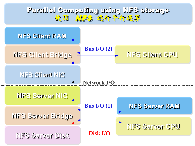#### Parallel Computing using NFS storage Parallel Computing using NFS storage 使用 NFS 進行平行運算 使用 NFS 進行平行運算

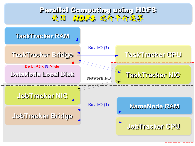#### Parallel Computing using HDFS Parallel Computing using HDFS 使用 HDFS 進行平行運算 使用 HDFS 進行平行運算

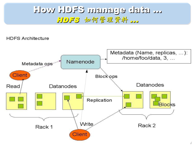### How HDFS manage data ... HDFS 如何管理資料 ...

**HDFS Architecture** 

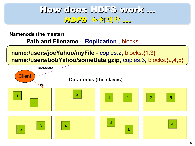### How does HDFS work ... HDFS 如何運作 ...

**Namenode (the master)**

**Path and Filename** – **Replication** , blocks

**name:/users/joeYahoo/myFile** - copies:2, blocks:{1,3} **name:/users/bobYahoo/someData.gzip**, copies:3, blocks:{2,4,5}

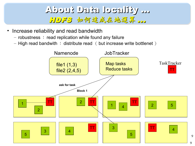### About Data locality ... HDFS 如何達成在地運算 ...

- Increase reliability and read bandwidth
	- robustness : read replication while found any failure
	- $-$  High read bandwith : distribute read ( but increase write bottlenet )

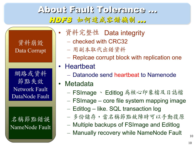### About Fault Tolerance ... HDFS 如何達成容錯機制 ...

資料崩毀 Data Corrupt

網路或資料 節點失效 Network Fault DataNode Fault

名稱節點錯誤 NameNode Fault

- 資料完整性 Data integrity
	- checked with CRC32
	- 用副本取代出錯資料
	- Replcae corrupt block with replication one
- Heartbeat
	- Datanode send heartbeat to Namenode
	- **Metadata** 
		- FSImage 、 Editlog 為核心印象檔及日誌檔
		- FSImage core file system mapping image
		- Editlog like. SQL transaction log
		- 多份儲存,當名稱節點故障時可以手動復原
		- Multiple backups of FSImage and Editlog
		- Manually recovery while NameNode Fault

10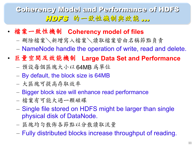Coherency Model and Performance of HDFS 11075 的一致性機制與效能 ...

- 檔案一致性機制 **Coherency model of files**
	- 刪除檔案\新增寫入檔案\讀取檔案皆由名稱節點負責
	- NameNode handle the operation of write, read and delete.
- 巨量空間及效能機制 **Large Data Set and Performance**
	- 預設每個區塊大小以 64MB 為單位
	- By default, the block size is 64MB
	- 大區塊可提高存取效率
	- Bigger block size will enhance read performance
	- 檔案有可能大過一顆磁碟
	- Single file stored on HDFS might be larger than single physical disk of DataNode.
	- 區塊均勻散佈各節點以分散讀取流量
	- Fully distributed blocks increase throughput of reading.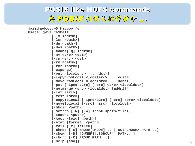#### POSIX like HDFS commands 與 POSIX相似的操作指令 ...

```
jazz@hadoop:~$ hadoop fs
Usage: java FsShell
              \lceil -1s \rceil\lceil - \text{lsr} \rceil\lceil-du <path>]
               \lceil-dus <path>]
               \lceil-count\lceil-q\rceil <path>\rceil\lceil-mv <src> <dst>\rceil\lceil-cp <src> <dst>\rceil\lceil-rm \leqpath>]
               \lceil-rmr \leqpath>]
               \lceil-expunge]
               [-put <localsrc> ... <dst>]
               [-copyFromLocal <localsrc> ... <dst>]
               [-moveFromLocal <localsrc> ... <dst>]
              [-get [-ignoreCrc] [-crc] <src> <localdst>]
               [-getmerge <src> <localdst> [addnl]]
               \lceil-cat \langlesrc>]
               \lceil-text \leqrc>]
               [-copyToLocal [-ignoreCrc] [-crc] <src> <localdst>]
               [-moveToLocal [-crc] <src> <localdst>]
               \lceil-mkdir <path>]
               \lceil-setrep \lceil -R \rceil \lceil -w \rceil <rep> <path/file>]
               \lceil-touchz <path>]
               \lceil-test -\lceilezd\rceil <path>\rceil[-stat [format] <path>]
               \lceil-tail \lceil-f\rceil <file>\rceil[-\text{chmod }[-R] <MODE[, \text{MODE}]... | OCTALMODE> PATH...]
               \lceil-chown \lceil -R \rceil \lceil OWNER]\lceil: \lceil GROUP]] PATH...
               [-charp F-R] GROUP PATH...
               \lceil -help \lceilcmd\rceil
```